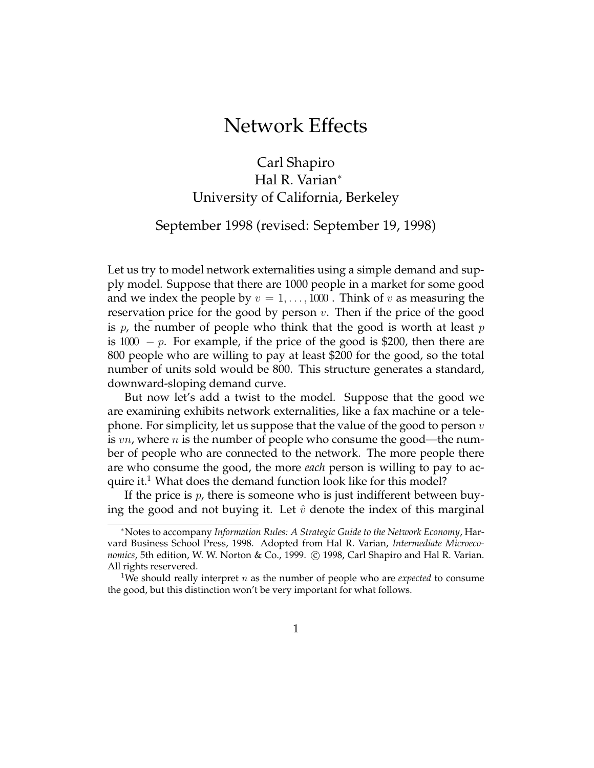## Network Effects network Effects Effects

## Carl Shapiro Hal R. Varian<br>≀of California  $U(1)$   $U(2)$  of  $U(2)$   $U(3)$   $U(3)$   $U(4)$

## $\mathbf{S}_{\mathbf{r}}$  (revised: September 1998)

Let us try to model network externalities using a simple demand and sup-<br>ply model. Suppose that there are 1000 people in a market for some good and we index the people by  $v = 1, \ldots, 1000$ . Think of v as measuring the reservation price for the good by person  $v$ . Then if the price of the good is  $p$ , the number of people who think that the good is worth at least  $p$ is 1000 – p. For example, if the price of the good is \$200, then there are 800 people who are willing to pay at least \$200 for the good, so the total number of units sold would be 800. This structure generates a standard, downward-sloping demand curve.

But now let's add a twist to the model. Suppose that the good we are examining exhibits network externalities, like a fax machine or a telephone. For simplicity, let us suppose that the value of the good to person  $v$ is  $vn$ , where  $n$  is the number of people who consume the good—the number of people who are connected to the network. The more people there are who consume the good, the more *each* person is willing to pay to acare who consume the good, the more *and* person to while go pay to acquire it.<sup>2</sup> What does the demand function look like for this model?<br>If the price is n there is someone who is just indifferent between

If the price is p, there is someone who is just intuitive to the end of  $\frac{1}{2}$  the proof and not buying it. Let  $\hat{y}$  denote the index of this marginal  $\int_0^\infty$  denote the index of the index of the index of the index of the index of the index of the index of the index of the index of the index of the index of the index of the index of the index of the index of the index

<sup>∗</sup>Notes to accompany *Information Rules: A Strategic Guide to the Network Economy*, Harvaries 5th edition W. W. Norton & Co. 1999. @ 1998. Carl Shapiro and Hal R. Varian, *n* microscopic contracts of the contract of the contract of the contract of the contract of the contract of  $\Delta$ ll rights receivered

 $\frac{1}{4}$   $\frac{1}{4}$  reserved. we should really interpret *n* as the number of people who are *expected* to consume<br>good, but this distinction won't be very important for what follows the good, but this distinction won't be very important for what follows.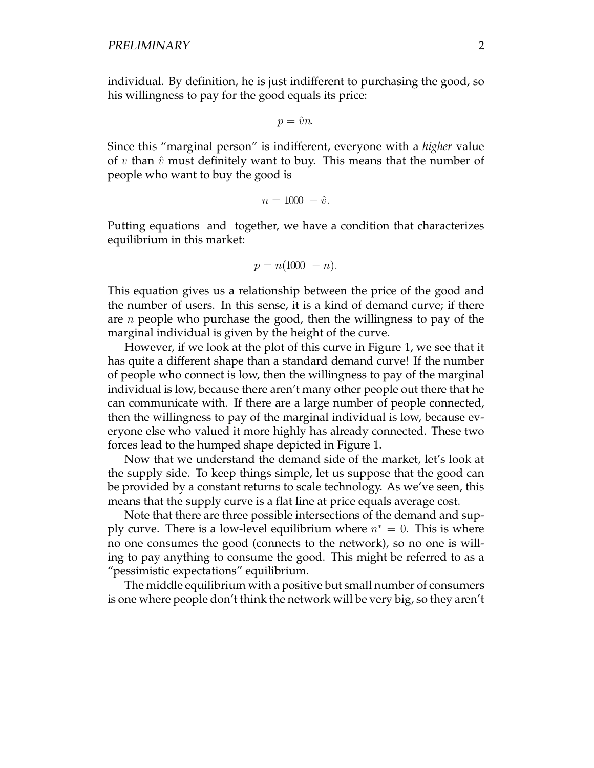$\frac{1}{2}$  is willingness to pay for the good equals its price:  $h_{\text{max}}$  willing the  $h_{\text{max}}$  for the good equals its price:

$$
p=\hat{v}n.
$$

Since this "marginal person" is indifferent, everyone with a *higher* value of  $v$  than  $\hat{v}$  must definitely want to buy. This means that the number of  $\frac{1}{2}$  meanle who want to buy the good is people who want to buy the good is

$$
n = 1000 - \hat{v}.
$$

 $\beta$  equilibrium in this market.  $\mathbf{e}$ 

$$
p = n(1000 - n).
$$

This equation gives us a relationship between the price of the good and the number of users. In this sense, it is a kind of demand curve; if there are *n* people who purchase the good, then the willingness to pay of the marginal individual is given by the height of the curve.

However, if we look at the plot of this curve in Figure 1, we see that it has quite a different shape than a standard demand curve! If the number of people who connect is low, then the willingness to pay of the marginal individual is low, because there aren't many other people out there that he can communicate with. If there are a large number of people connected, then the willingness to pay of the marginal individual is low, because everyone else who valued it more highly has already connected. These two forces lead to the humped shape depicted in Figure 1.

Now that we understand the demand side of the market, let's look at the supply side. To keep things simple, let us suppose that the good can be provided by a constant returns to scale technology. As we've seen, this means that the supply curve is a flat line at price equals average cost.

Note that there are three possible intersections of the demand and sup- $\sum_{k=1}^{\infty}$  That there is a low-level equilibrium where  $n^* = 0$ . This is where ply curve. There is a low-level equilibrium where  $n = 0$ . This is where<br>no one consumes the good (connects to the network), so no one is willno one consumes the good (connects to the network), so no one is will-<br>ing to pay anything to consume the good. This might be referred to as a "pessimistic expectations" equilibrium.

The middle equilibrium with a positive but small number of consumers The minime equilibrium with a positive but small number of consumers to the different that it is not the unit is one where  $\Gamma$  this dominant the network will be very big, so they are network will be very big, so they are not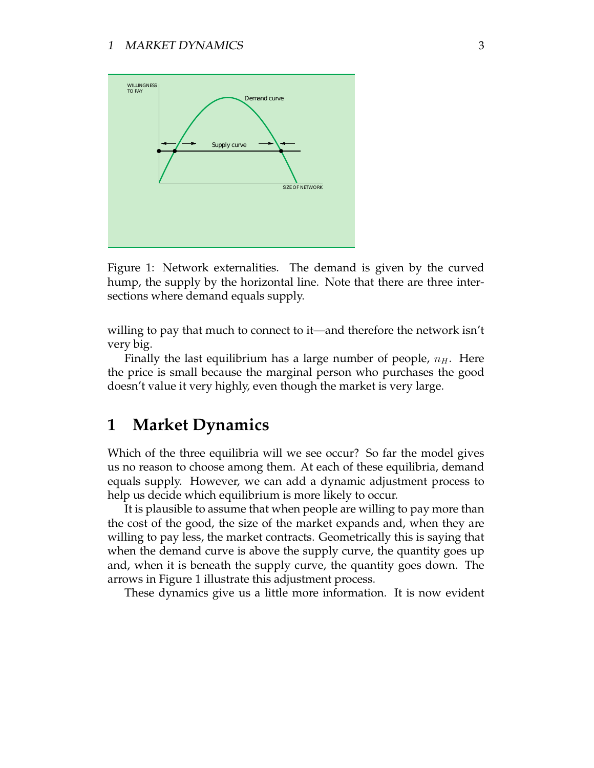

Figure 1: Network externalities. The demand is given by the curved hump, the supply by the horizontal line. Note that there are three inter $h_{\text{max}}$ , the supply by the horizontal line. Note that there are three intersections where demand  $\frac{1}{4}$  and  $\frac{1}{4}$  equals supply.

willing to pay that much to connect to it—and therefore the network isn't very big.

Finally the last equilibrium has a large number of people,  $n_H$ . Here the price is small because the marginal person who purchases the good the price is small because the marginal person who purchases the good. doesn't value it very highly, even though the market is very large.

## **1 Market Dynamics**

Which of the three equilibria will we see occur? So far the model gives us no reason to choose among them. At each of these equilibria, demand equals supply. However, we can add a dynamic adjustment process to help us decide which equilibrium is more likely to occur.

It is plausible to assume that when people are willing to pay more than the cost of the good, the size of the market expands and, when they are willing to pay less, the market contracts. Geometrically this is saying that when the demand curve is above the supply curve, the quantity goes up and, when it is beneath the supply curve, the quantity goes down. The arrows in Figure 1 illustrate this adjustment process.

arrows in Figure 1 interested the disponential process. These dynamics  $\theta$  is a little more information. It is now evident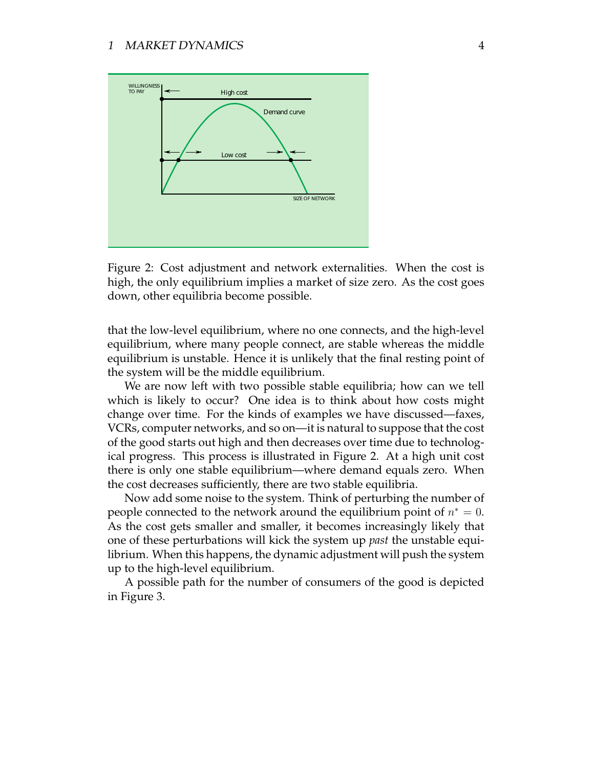

Figure 2: Cost adjustment and network externalities. When the cost is high, the only equilibrium implies a market of size zero. As the cost goes high, the only equilibria hecome possible  $\mathbf{d}$ 

that the low-level equilibrium, where no one connects, and the high-level equilibrium, where many people connect, are stable whereas the middle equilibrium is unstable. Hence it is unlikely that the final resting point of the system will be the middle equilibrium.

We are now left with two possible stable equilibria; how can we tell which is likely to occur? One idea is to think about how costs might change over time. For the kinds of examples we have discussed—faxes, VCRs, computer networks, and so on—it is natural to suppose that the cost of the good starts out high and then decreases over time due to technological progress. This process is illustrated in Figure 2. At a high unit cost there is only one stable equilibrium—where demand equals zero. When the cost decreases sufficiently, there are two stable equilibria.

Now add some noise to the system. Think of perturbing the number of people connected to the network around the equilibrium point of  $n^* = 0$ . As the cost gets smaller and smaller, it becomes increasingly likely that one of these perturbations will kick the system up *past* the unstable equilibrium. When this happens, the dynamic adjustment will push the system up to the high-level equilibrium.

 $\Delta$  possible path for the numb A possible path for the number of consumers of the good is depicted<br>Source 3 in Figure 3.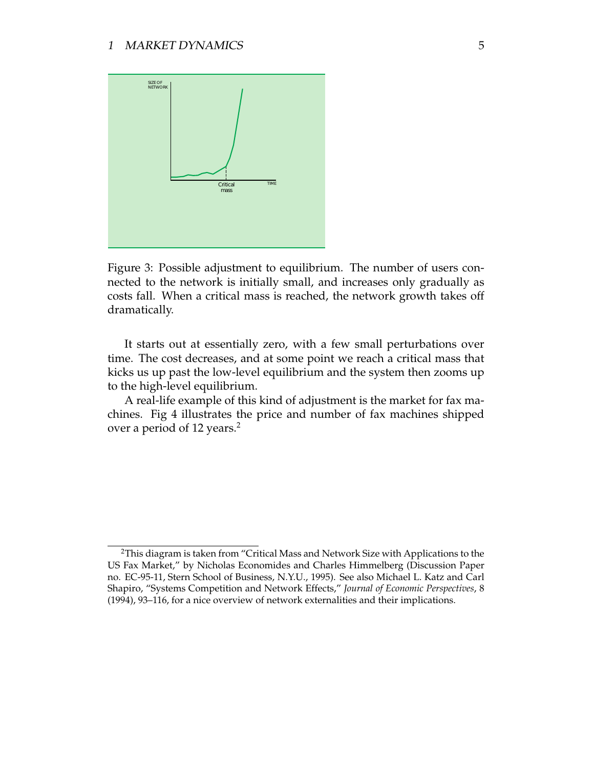

Figure 3: Possible adjustment to equilibrium. The number of users connected to the network is initially small, and increases only gradually as nected to the network is inducing called the network growth takes off contractive contraction mass is reached, the network growth takes of the network  $\alpha$ dramatically.

It starts out at essentially zero, with a few small perturbations over time. The cost decreases, and at some point we reach a critical mass that kicks us up past the low-level equilibrium and the system then zooms up to the high-level equilibrium.

A real-life example of this kind of adjustment is the market for fax ma- $\frac{1}{\pi}$  $\frac{1}{2}$  figure and number  $\frac{1}{2}$  figure and number of  $\frac{1}{2}$  mathematics shipped over a period of 12 years.<sup>2</sup>

<sup>&</sup>lt;sup>2</sup>This diagram is taken from "Critical Mass and Network Size with Applications to the US Fax Market," by Nicholas Economides and Charles Himmelberg (Discussion Paper no. EC-95-11, Stern School of Business, N.Y.U., 1995). See also Michael L. Katz and Carl Shapiro, "Systems Competition and Network Effects," Journal of Economic Perspectives, 8 Shapiro, "Systems Competition and Network Effects," *Journal of Economic Perspectives*, 8  $(1994)$ , 93–116, for a nice over the internalities and their implications.